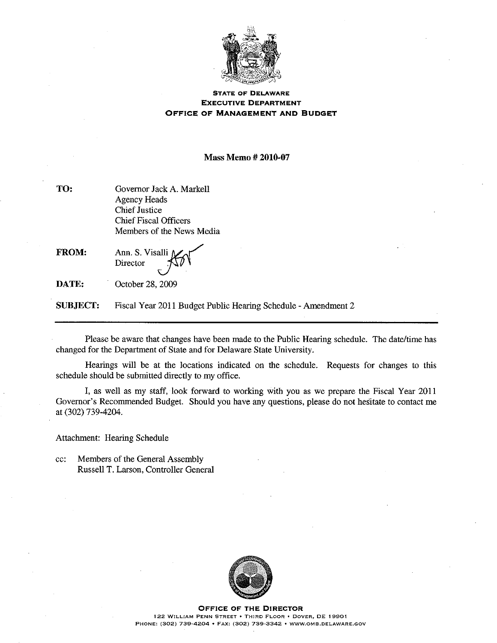

## **STATE OF DELAWARE EXECUTIVE DEPARTMENT OFFICE OF MANAGEMENT AND BUDGET**

**Mass Memo #2010-07** 

| TO: | Governor Jack A. Markell     |  |  |
|-----|------------------------------|--|--|
|     | Agency Heads                 |  |  |
|     | <b>Chief Justice</b>         |  |  |
|     | <b>Chief Fiscal Officers</b> |  |  |
|     | Members of the News Media    |  |  |
|     |                              |  |  |

**FROM:** Ann. S. Visalli Director

DATE: October 28, 2009

**SUBJECT:** Fiscal Year 2011 Budget Public Hearing Schedule - Amendment 2

Please be aware that changes have been made to the Public Hearing schedule. The date/time has changed for the Department of State and for Delaware State University.

Hearings will be at the locations indicated on the schedule. Requests for changes to this schedule should be submitted directly to my office.

I, as well as my staff, look forward to working with you as we prepare the Fiscal Year 2011 Governor's Recommended Budget. Should you have any questions, please do not hesitate to contact me at (302) 739-4204.

Attachment: Hearing Schedule

Members of the General Assembly cc: Russell T. Larson, Controller General



**OFFICE OF THE DIRECTOR** 122 WILLIAM PENN STREET . THIRD FLOOR . DOVER, DE 19901 PHONE: (302) 739-4204 • FAX: (302) 739-3342 • WWW.OMB.DELAWARE.GOV